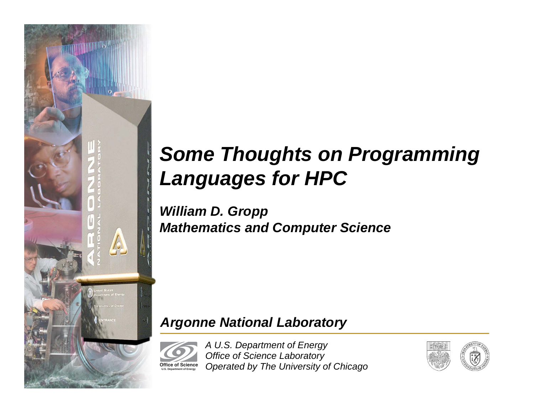

# *Some Thoughts on Programming Languages for HPC*

*William D. Gropp Mathematics and Computer Science*

### *Argonne National Laboratory*

*A U.S. Department of Energy Office of Science Laboratory Operated by The University of Chicago* **Office of Science U.S. Department of Energy**

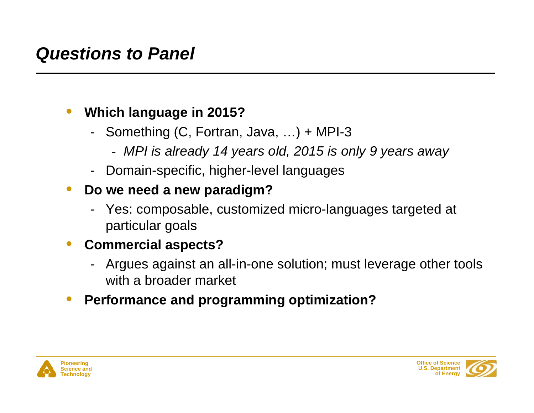# *Questions to Panel*

#### •**Which language in 2015?**

- - Something (C, Fortran, Java, …) + MPI-3
	- *MPI is already 14 years old, 2015 is only 9 years away*
- -Domain-specific, higher-level languages
- • **Do we need a new paradigm?**
	- Yes: composable, customized micro-languages targeted at particular goals

#### •**Commercial aspects?**

- Argues against an all-in-one solution; must leverage other tools with a broader market
- •**Performance and programming optimization?**



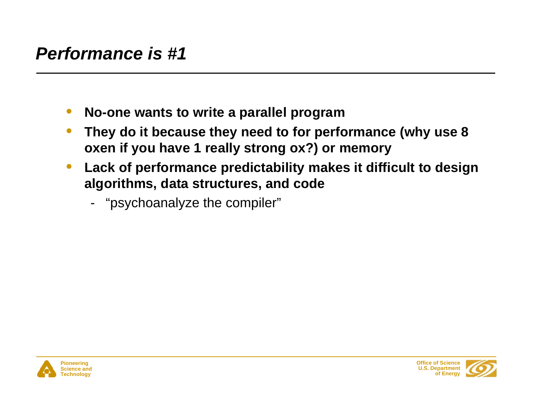## *Performance is #1*

- $\bullet$ **No-one wants to write a parallel program**
- • **They do it because they need to for performance (why use 8 oxen if you have 1 really strong ox?) or memory**
- $\bullet$  **Lack of performance predictability makes it difficult to design algorithms, data structures, and code**
	- -"psychoanalyze the compiler"



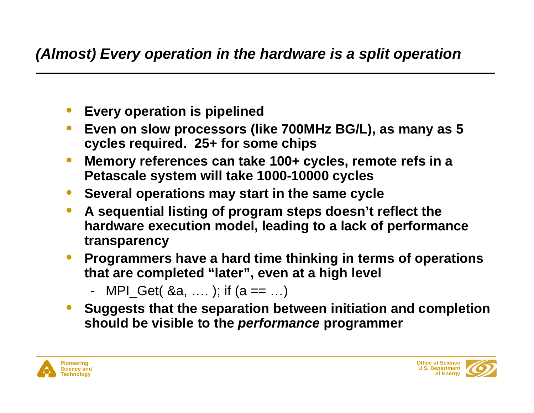### *(Almost) Every operation in the hardware is a split operation*

- $\bullet$ **Every operation is pipelined**
- • **Even on slow processors (like 700MHz BG/L), as many as 5 cycles required. 25+ for some chips**
- $\bullet$  **Memory references can take 100+ cycles, remote refs in a Petascale system will take 1000-10000 cycles**
- $\bullet$ **Several operations may start in the same cycle**
- $\bullet$  **A sequential listing of program steps doesn't reflect the hardware execution model, leading to a lack of performance transparency**
- $\bullet$  **Programmers have a hard time thinking in terms of operations that are completed "later", even at a high level**
	- -MPI\_Get( $\&a, \ldots$ ); if  $(a == \ldots)$
- $\bullet$  **Suggests that the separation between initiation and completion should be visible to the** *performance* **programmer**